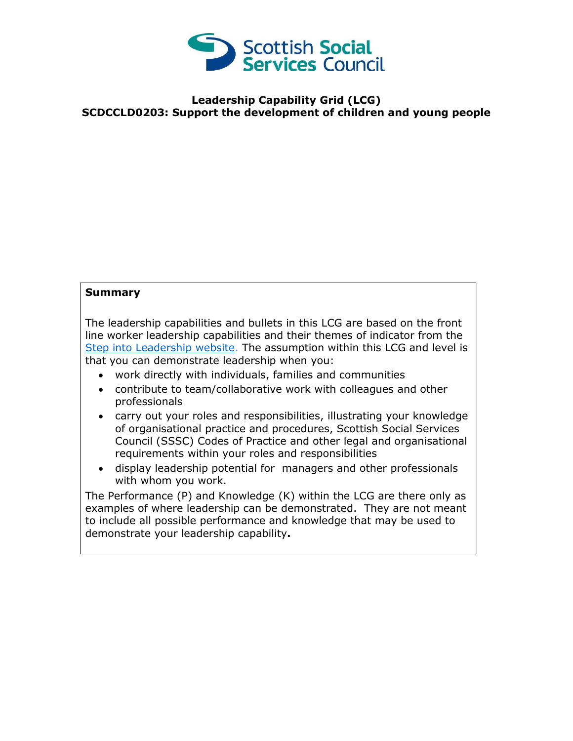

## **Leadership Capability Grid (LCG) SCDCCLD0203: Support the development of children and young people**

## **Summary**

The leadership capabilities and bullets in this LCG are based on the front line worker leadership capabilities and their themes of indicator from the [Step into Leadership website.](http://www.stepintoleadership.info/) The assumption within this LCG and level is that you can demonstrate leadership when you:

- work directly with individuals, families and communities
- contribute to team/collaborative work with colleagues and other professionals
- carry out your roles and responsibilities, illustrating your knowledge of organisational practice and procedures, Scottish Social Services Council (SSSC) Codes of Practice and other legal and organisational requirements within your roles and responsibilities
- display leadership potential for managers and other professionals with whom you work.

The Performance (P) and Knowledge (K) within the LCG are there only as examples of where leadership can be demonstrated. They are not meant to include all possible performance and knowledge that may be used to demonstrate your leadership capability**.**